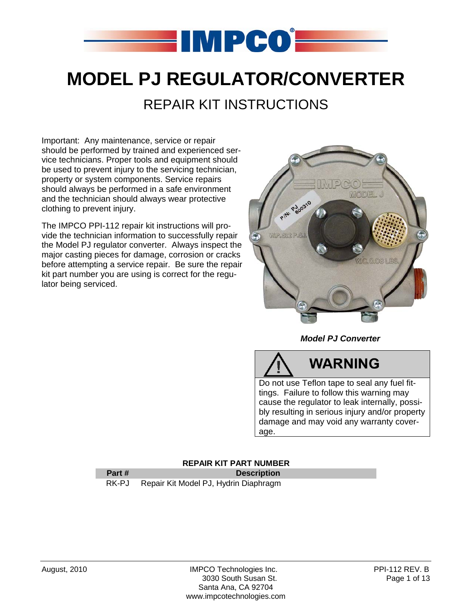

# **MODEL PJ REGULATOR/CONVERTER**  REPAIR KIT INSTRUCTIONS

Important: Any maintenance, service or repair should be performed by trained and experienced service technicians. Proper tools and equipment should be used to prevent injury to the servicing technician, property or system components. Service repairs should always be performed in a safe environment and the technician should always wear protective clothing to prevent injury.

The IMPCO PPI-112 repair kit instructions will provide the technician information to successfully repair the Model PJ regulator converter. Always inspect the major casting pieces for damage, corrosion or cracks before attempting a service repair. Be sure the repair kit part number you are using is correct for the regulator being serviced.



### *Model PJ Converter*

# **WARNING**

Do not use Teflon tape to seal any fuel fittings. Failure to follow this warning may cause the regulator to leak internally, possibly resulting in serious injury and/or property damage and may void any warranty coverage.

### **REPAIR KIT PART NUMBER**

### **Part #** Description

RK-PJ Repair Kit Model PJ, Hydrin Diaphragm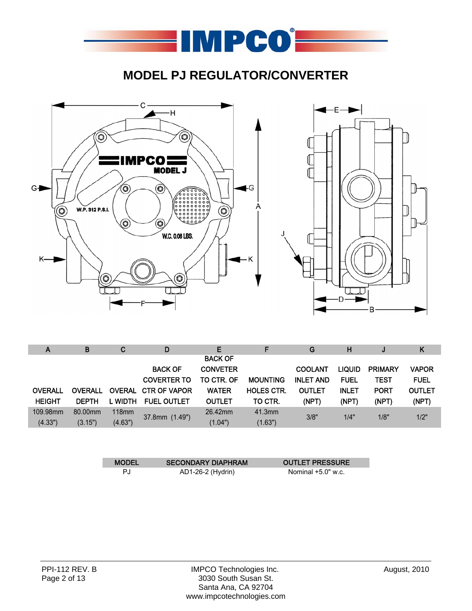

## **MODEL PJ REGULATOR/CONVERTER**



| A              | B              | C             | D                   | E               |                   | G                | н             |                | K             |
|----------------|----------------|---------------|---------------------|-----------------|-------------------|------------------|---------------|----------------|---------------|
|                |                |               |                     | <b>BACK OF</b>  |                   |                  |               |                |               |
|                |                |               | <b>BACK OF</b>      | <b>CONVETER</b> |                   | <b>COOLANT</b>   | <b>LIQUID</b> | <b>PRIMARY</b> | <b>VAPOR</b>  |
|                |                |               | <b>COVERTER TO</b>  | TO CTR. OF      | <b>MOUNTING</b>   | <b>INLET AND</b> | <b>FUEL</b>   | <b>TEST</b>    | <b>FUEL</b>   |
| <b>OVERALL</b> | <b>OVERALL</b> | <b>OVERAL</b> | <b>CTR OF VAPOR</b> | <b>WATER</b>    | <b>HOLES CTR.</b> | <b>OUTLET</b>    | <b>INLET</b>  | <b>PORT</b>    | <b>OUTLET</b> |
| <b>HEIGHT</b>  | <b>DEPTH</b>   | L WIDTH       | <b>FUEL OUTLET</b>  | <b>OUTLET</b>   | TO CTR.           | (NPT)            | (NPT)         | (NPT)          | (NPT)         |
| 109.98mm       | 80.00mm        | 118mm         | 37.8mm (1.49")      | 26.42mm         | 41.3mm            | 3/8"             | 1/4"          | 1/8"           | 1/2"          |
| (4.33")        | (3.15")        | (4.63")       |                     | (1.04")         | (1.63")           |                  |               |                |               |

| <b>MODEL</b> | <b>SECONDARY DIAPHRAM</b> | <b>OUTLET PRESSURE</b> |
|--------------|---------------------------|------------------------|
| P.I.         | AD1-26-2 (Hydrin)         | Nominal $+5.0$ " w.c.  |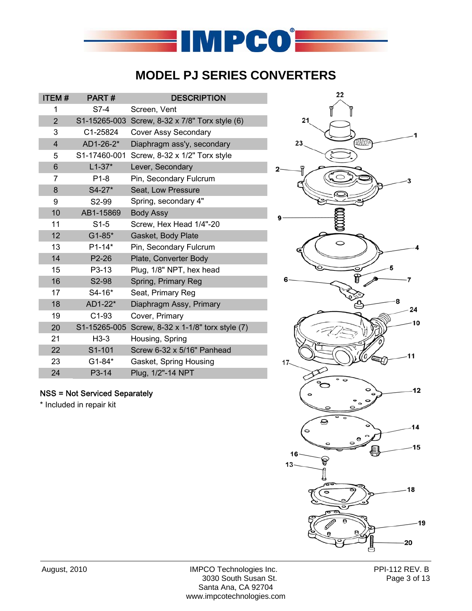

## **MODEL PJ SERIES CONVERTERS**

| <b>ITEM#</b>   | PART#            | <b>DESCRIPTION</b>                  |
|----------------|------------------|-------------------------------------|
| 1              | $S7-4$           | Screen, Vent                        |
| $\overline{2}$ | S1-15265-003     | Screw, 8-32 x 7/8" Torx style (6)   |
| 3              | C1-25824         | Cover Assy Secondary                |
| $\overline{4}$ | AD1-26-2*        | Diaphragm ass'y, secondary          |
| 5              | S1-17460-001     | Screw, 8-32 x 1/2" Torx style       |
| 6              | $L1 - 37*$       | Lever, Secondary                    |
| $\overline{7}$ | P <sub>1-8</sub> | Pin, Secondary Fulcrum              |
| 8              | $S4-27*$         | Seat, Low Pressure                  |
| 9              | S2-99            | Spring, secondary 4"                |
| 10             | AB1-15869        | <b>Body Assy</b>                    |
| 11             | $S1-5$           | Screw, Hex Head 1/4"-20             |
| 12             | $G1 - 85*$       | Gasket, Body Plate                  |
| 13             | $P1 - 14*$       | Pin, Secondary Fulcrum              |
| 14             | P2-26            | Plate, Converter Body               |
| 15             | P3-13            | Plug, 1/8" NPT, hex head            |
| 16             | S2-98            | Spring, Primary Reg                 |
| 17             | S4-16*           | Seat, Primary Reg                   |
| 18             | AD1-22*          | Diaphragm Assy, Primary             |
| 19             | $C1-93$          | Cover, Primary                      |
| 20             | S1-15265-005     | Screw, 8-32 x 1-1/8" torx style (7) |
| 21             | $H3-3$           | Housing, Spring                     |
| 22             | S1-101           | Screw 6-32 x 5/16" Panhead          |
| 23             | $G1 - 84*$       | Gasket, Spring Housing              |
| 24             | P3-14            | Plug, 1/2"-14 NPT                   |

## NSS = Not Serviced Separately

\* Included in repair kit



August, 2010 IMPCO Technologies Inc. PPI-112 REV. B 3030 South Susan St. Page 3 of 13 Santa Ana, CA 92704 www.impcotechnologies.com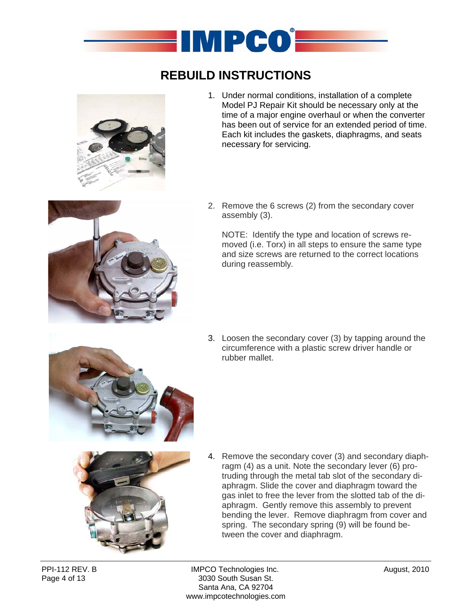

# **REBUILD INSTRUCTIONS**



1. Under normal conditions, installation of a complete Model PJ Repair Kit should be necessary only at the time of a major engine overhaul or when the converter has been out of service for an extended period of time. Each kit includes the gaskets, diaphragms, and seats necessary for servicing.



2. Remove the 6 screws (2) from the secondary cover assembly (3).

NOTE: Identify the type and location of screws removed (i.e. Torx) in all steps to ensure the same type and size screws are returned to the correct locations during reassembly*.*

3. Loosen the secondary cover (3) by tapping around the circumference with a plastic screw driver handle or rubber mallet.



4. Remove the secondary cover (3) and secondary diaphragm (4) as a unit. Note the secondary lever (6) protruding through the metal tab slot of the secondary diaphragm. Slide the cover and diaphragm toward the gas inlet to free the lever from the slotted tab of the diaphragm. Gently remove this assembly to prevent bending the lever. Remove diaphragm from cover and spring. The secondary spring (9) will be found between the cover and diaphragm.

PPI-112 REV. B **IMPCO Technologies Inc.** August, 2010 Page 4 of 13 3030 South Susan St. Santa Ana, CA 92704 www.impcotechnologies.com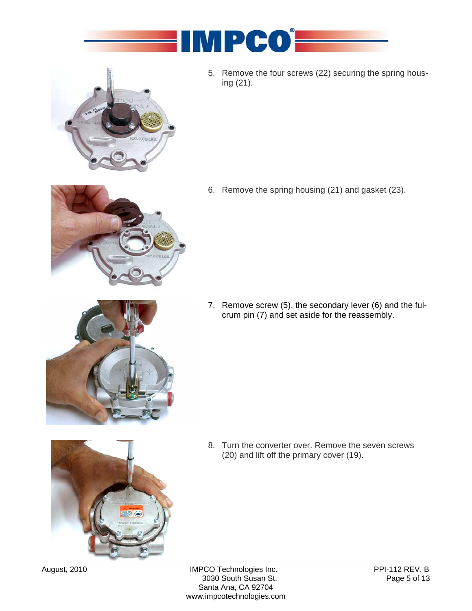



5. Remove the four screws (22) securing the spring housing (21).



6. Remove the spring housing (21) and gasket (23).

7. Remove screw (5), the secondary lever (6) and the fulcrum pin (7) and set aside for the reassembly.



8. Turn the converter over. Remove the seven screws (20) and lift off the primary cover (19).

August, 2010 IMPCO Technologies Inc.<br>3030 South Susan St. Page 5 of 13 3030 South Susan St. Santa Ana, CA 92704 www.impcotechnologies.com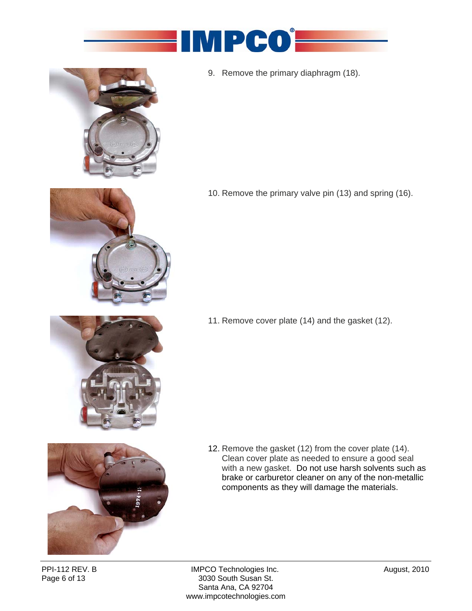



9. Remove the primary diaphragm (18).



11. Remove cover plate (14) and the gasket (12).

10. Remove the primary valve pin (13) and spring (16).



12. Remove the gasket (12) from the cover plate (14). Clean cover plate as needed to ensure a good seal with a new gasket. Do not use harsh solvents such as brake or carburetor cleaner on any of the non-metallic components as they will damage the materials.

PPI-112 REV. B **IMPCO Technologies Inc.** The Solution of August, 2010<br>
Page 6 of 13 **IMPCO Technologies Inc.** The Solution of August, 2010 3030 South Susan St. Santa Ana, CA 92704 www.impcotechnologies.com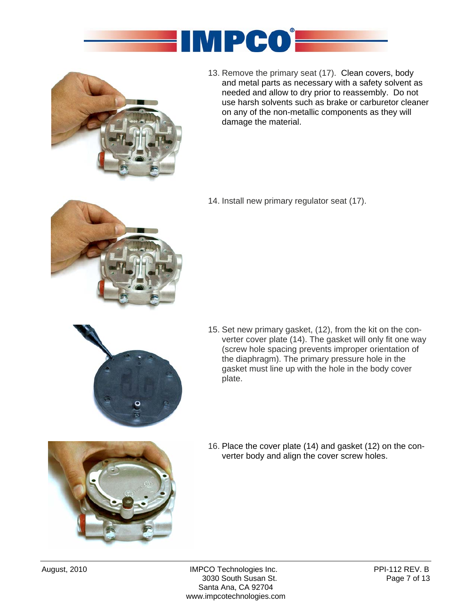



13. Remove the primary seat (17). Clean covers, body and metal parts as necessary with a safety solvent as needed and allow to dry prior to reassembly. Do not use harsh solvents such as brake or carburetor cleaner on any of the non-metallic components as they will damage the material.

14. Install new primary regulator seat (17).



- 
- 15. Set new primary gasket, (12), from the kit on the converter cover plate (14). The gasket will only fit one way (screw hole spacing prevents improper orientation of the diaphragm). The primary pressure hole in the gasket must line up with the hole in the body cover plate.



16. Place the cover plate (14) and gasket (12) on the converter body and align the cover screw holes.

August, 2010 **IMPCO Technologies Inc.** PPI-112 REV. B 3030 South Susan St. Page 7 of 13 Santa Ana, CA 92704 www.impcotechnologies.com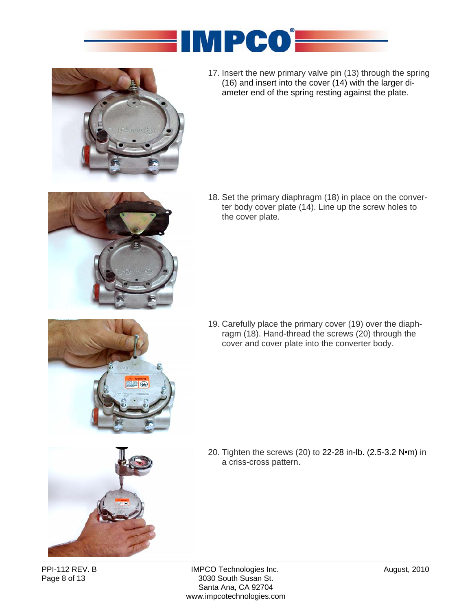



17. Insert the new primary valve pin (13) through the spring (16) and insert into the cover (14) with the larger diameter end of the spring resting against the plate.



18. Set the primary diaphragm (18) in place on the converter body cover plate (14). Line up the screw holes to the cover plate.

19. Carefully place the primary cover (19) over the diaphragm (18). Hand-thread the screws (20) through the cover and cover plate into the converter body.



20. Tighten the screws (20) to 22-28 in-lb. (2.5-3.2 N•m) in a criss-cross pattern.

PPI-112 REV. B **IMPCO Technologies Inc.** The Solution of August, 2010<br>
Page 8 of 13 **IMPCO South Susan St.** 3030 South Susan St. Santa Ana, CA 92704 www.impcotechnologies.com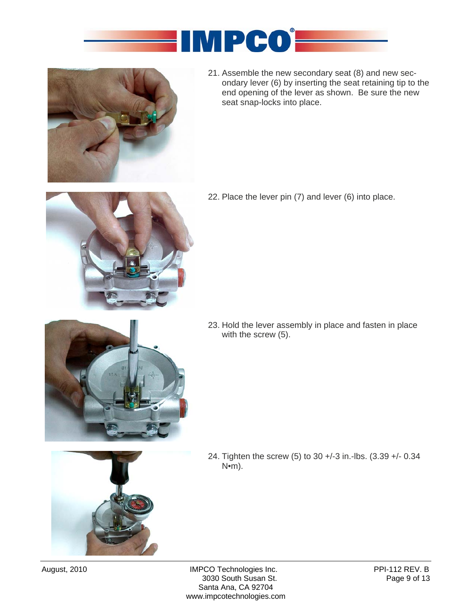



21. Assemble the new secondary seat (8) and new secondary lever (6) by inserting the seat retaining tip to the end opening of the lever as shown. Be sure the new seat snap-locks into place.



22. Place the lever pin (7) and lever (6) into place.

- 
- 23. Hold the lever assembly in place and fasten in place with the screw (5).

24. Tighten the screw (5) to 30 +/-3 in.-lbs. (3.39 +/- 0.34 N•m).



August, 2010 IMPCO Technologies Inc.<br>3030 South Susan St. Page 9 of 13 3030 South Susan St. Santa Ana, CA 92704 www.impcotechnologies.com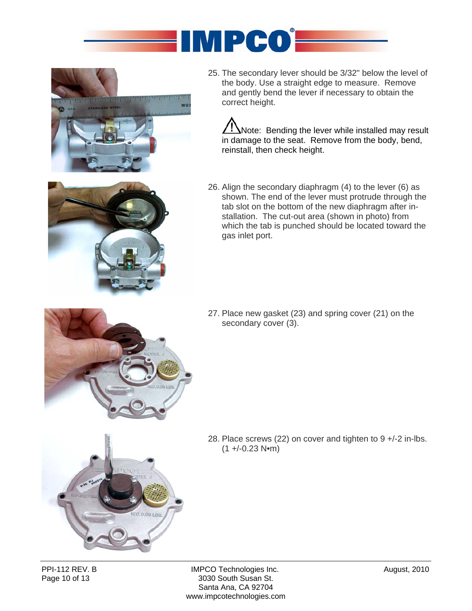



25. The secondary lever should be 3/32" below the level of the body. Use a straight edge to measure. Remove and gently bend the lever if necessary to obtain the correct height.

Note: Bending the lever while installed may result in damage to the seat. Remove from the body, bend, reinstall, then check height.



- 
- 26. Align the secondary diaphragm (4) to the lever (6) as shown. The end of the lever must protrude through the tab slot on the bottom of the new diaphragm after installation. The cut-out area (shown in photo) from which the tab is punched should be located toward the gas inlet port.

27. Place new gasket (23) and spring cover (21) on the secondary cover (3).



28. Place screws (22) on cover and tighten to 9 +/-2 in-lbs.  $(1 + (-0.23 \text{ N} \cdot \text{m}))$ 

PPI-112 REV. B **IMPCO Technologies Inc.** August, 2010<br>
Page 10 of 13 and 13 and 13 and 13 and 13 and 13 and 13 and 14 and 13 and 14 and 15 and 16 and 17 and 18 and 1 3030 South Susan St. Santa Ana, CA 92704 www.impcotechnologies.com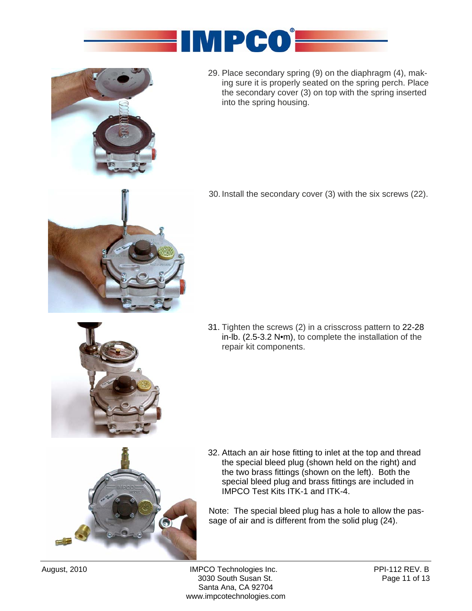



29. Place secondary spring (9) on the diaphragm (4), making sure it is properly seated on the spring perch. Place the secondary cover (3) on top with the spring inserted into the spring housing.



30. Install the secondary cover (3) with the six screws (22).

- 
- 31. Tighten the screws (2) in a crisscross pattern to 22-28 in-lb. (2.5-3.2 N•m), to complete the installation of the repair kit components.



32. Attach an air hose fitting to inlet at the top and thread the special bleed plug (shown held on the right) and the two brass fittings (shown on the left). Both the special bleed plug and brass fittings are included in IMPCO Test Kits ITK-1 and ITK-4.

Note: The special bleed plug has a hole to allow the passage of air and is different from the solid plug (24).

August, 2010 **IMPCO Technologies Inc.** PPI-112 REV. B 3030 South Susan St. Page 11 of 13 Santa Ana, CA 92704 www.impcotechnologies.com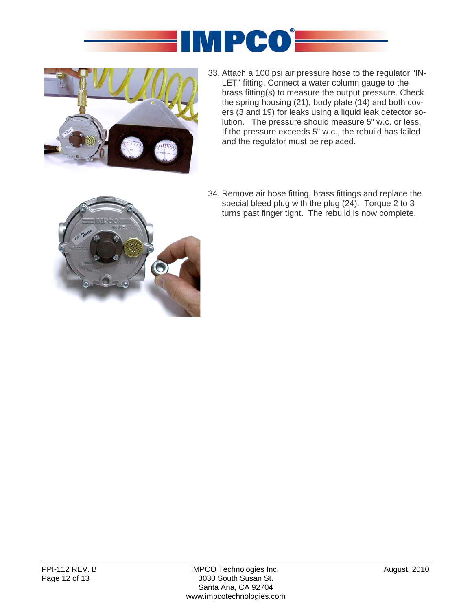



33. Attach a 100 psi air pressure hose to the regulator "IN-LET" fitting. Connect a water column gauge to the brass fitting(s) to measure the output pressure. Check the spring housing (21), body plate (14) and both covers (3 and 19) for leaks using a liquid leak detector solution. The pressure should measure 5" w.c. or less. If the pressure exceeds 5" w.c., the rebuild has failed and the regulator must be replaced.



34. Remove air hose fitting, brass fittings and replace the special bleed plug with the plug (24). Torque 2 to 3 turns past finger tight. The rebuild is now complete.